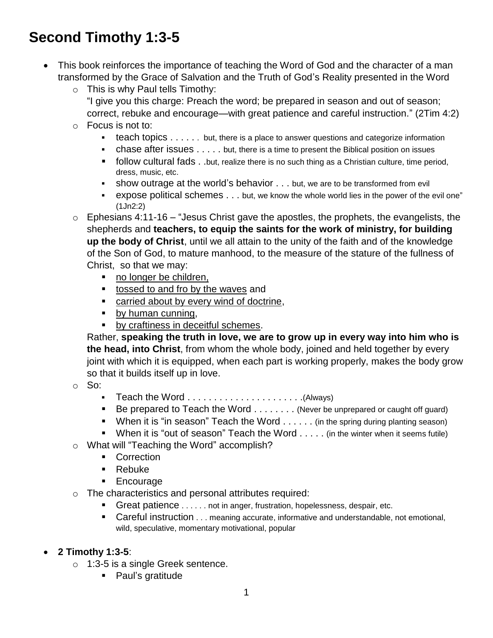# **Second Timothy 1:3-5**

- This book reinforces the importance of teaching the Word of God and the character of a man transformed by the Grace of Salvation and the Truth of God's Reality presented in the Word
	- $\circ$  This is why Paul tells Timothy:
		- "I give you this charge: Preach the word; be prepared in season and out of season; correct, rebuke and encourage—with great patience and careful instruction." (2Tim 4:2)
	- $\circ$  Focus is not to:
		- **teach topics**  $\dots$  . . . . . but, there is a place to answer questions and categorize information
		- chase after issues . . . . . but, there is a time to present the Biblical position on issues
		- follow cultural fads . .but, realize there is no such thing as a Christian culture, time period, dress, music, etc.
		- show outrage at the world's behavior . . . but, we are to be transformed from evil
		- expose political schemes . . . but, we know the whole world lies in the power of the evil one" (1Jn2:2)
	- $\circ$  Ephesians 4:11-16 "Jesus Christ gave the apostles, the prophets, the evangelists, the shepherds and **teachers, to equip the saints for the work of ministry, for building up the body of Christ**, until we all attain to the unity of the faith and of the knowledge of the Son of God, to mature manhood, to the measure of the stature of the fullness of Christ, so that we may:
		- no longer be children,
		- tossed to and fro by the waves and
		- **EXEC** carried about by every wind of doctrine,
		- by human cunning,
		- **by craftiness in deceitful schemes.**

Rather, **speaking the truth in love, we are to grow up in every way into him who is the head, into Christ**, from whom the whole body, joined and held together by every joint with which it is equipped, when each part is working properly, makes the body grow so that it builds itself up in love.

o So:

- Teach the Word . . . . . . . . . . . . . . . . . . . . . .(Always)
- $\blacksquare$  Be prepared to Teach the Word  $\ldots \ldots \ldots$  (Never be unprepared or caught off guard)
- When it is "in season" Teach the Word  $\dots$  . . . . (in the spring during planting season)
- When it is "out of season" Teach the Word  $\dots$  (in the winter when it seems futile)
- o What will "Teaching the Word" accomplish?
	- **Correction**
	- Rebuke
	- **Encourage**
- o The characteristics and personal attributes required:
	- Great patience . . . . . . not in anger, frustration, hopelessness, despair, etc.
	- Careful instruction . . . meaning accurate, informative and understandable, not emotional, wild, speculative, momentary motivational, popular
- **2 Timothy 1:3-5**:
	- o 1:3-5 is a single Greek sentence.
		- Paul's gratitude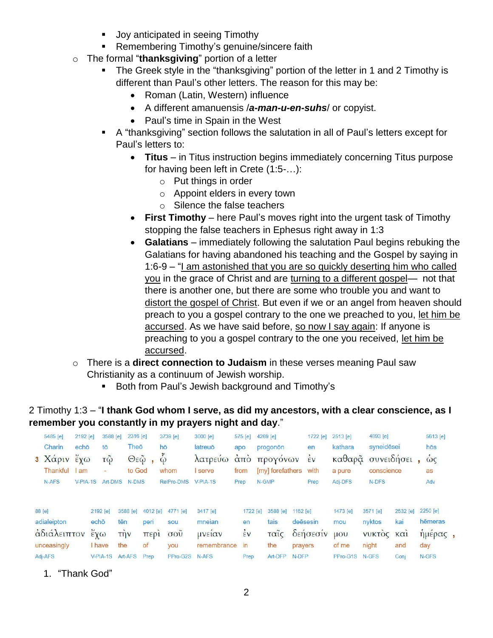- **Joy anticipated in seeing Timothy**
- **Remembering Timothy's genuine/sincere faith**
- o The formal "**thanksgiving**" portion of a letter
	- The Greek style in the "thanksgiving" portion of the letter in 1 and 2 Timothy is different than Paul's other letters. The reason for this may be:
		- Roman (Latin, Western) influence
		- A different amanuensis /*a-man-u-en-suhs*/ or copyist.
		- Paul's time in Spain in the West
	- A "thanksgiving" section follows the salutation in all of Paul's letters except for Paul's letters to:
		- **Titus** in Titus instruction begins immediately concerning Titus purpose for having been left in Crete (1:5-…):
			- o Put things in order
			- o Appoint elders in every town
			- o Silence the false teachers
		- **First Timothy** here Paul's moves right into the urgent task of Timothy stopping the false teachers in Ephesus right away in 1:3
		- **Galatians** immediately following the salutation Paul begins rebuking the Galatians for having abandoned his teaching and the Gospel by saying in 1:6-9 – "I am astonished that you are so quickly deserting him who called you in the grace of Christ and are turning to a different gospel- not that there is another one, but there are some who trouble you and want to distort the gospel of Christ. But even if we or an angel from heaven should preach to you a gospel contrary to the one we preached to you, let him be accursed. As we have said before, so now I say again: If anyone is preaching to you a gospel contrary to the one you received, let him be accursed.
- o There is a **direct connection to Judaism** in these verses meaning Paul saw Christianity as a continuum of Jewish worship.
	- **Both from Paul's Jewish background and Timothy's**

## 2 Timothy 1:3 – "**I thank God whom I serve, as did my ancestors, with a clear conscience, as I remember you constantly in my prayers night and day**."

|                        | 5485 [e]<br>Charin<br>$3 X\alpha \rho \nu$<br>Thankful<br>N-AFS | 2192 [e]<br>echō<br>$\epsilon \chi \omega$<br>am<br>$V-PIA-1S$ |                                                | 3588 [e]<br>tō<br>$\tilde{\tau}$ $\tilde{\omega}$<br>$\overline{\phantom{a}}$<br>Art-DMS | 2316 [e]<br><b>Theo</b><br>$\Theta \varepsilon \tilde{\omega}$<br>to God<br>N-DMS |                    | $3739$ [e]<br>hō<br>$\tilde{\omega}$<br>whom<br>RelPro-DMS | 3000 [e]<br>575 [e]<br>latreuō<br>apo<br>λατρεύω<br>$\alpha$ <sub>TO</sub><br>serve<br>from<br>$V-PIA-1S$ |                                | $4269$ [e]<br>progonon<br>προγόνων<br>[my] forefathers<br>N-GMP | 1722 [e]<br>en<br>$\dot{\epsilon}$ v<br>with<br>Prep | 2513 [e]<br>kathara<br>a pure<br>Adj-DFS | 4893 [e]<br>N-DFS           | syneidesei<br>καθαρᾶ συνειδήσει<br>conscience |                    | 5613 [e] |
|------------------------|-----------------------------------------------------------------|----------------------------------------------------------------|------------------------------------------------|------------------------------------------------------------------------------------------|-----------------------------------------------------------------------------------|--------------------|------------------------------------------------------------|-----------------------------------------------------------------------------------------------------------|--------------------------------|-----------------------------------------------------------------|------------------------------------------------------|------------------------------------------|-----------------------------|-----------------------------------------------|--------------------|----------|
|                        | 88 [e]                                                          |                                                                | 2192 [e]                                       |                                                                                          | 3588 [e]                                                                          | 4012 [e]           | 4771 [e]                                                   | 3417 [e]                                                                                                  | Prep<br>1722 [e]               | 3588 [e]                                                        | 1162 $[e]$                                           | 1473 [e]                                 | 3571 [e]                    | 2532 [e]                                      | Adv<br>2250 [e]    |          |
|                        | adialeipton<br>αδιάλειπτον                                      |                                                                | echō<br>$\tilde{\epsilon} \chi \omega$<br>have |                                                                                          | tēn<br>$T\eta v$<br>the                                                           | peri<br>περι<br>of | sou<br>$\sigma$ <sup>o</sup> $\tilde{v}$                   | mneian<br>μνειαν<br>remembrance                                                                           | en<br>$\dot{\epsilon}$ v<br>in | tais<br>ταΐς                                                    | deēsesin<br>δεήσεσίν                                 | mou<br>$\mathsf{U}\mathrm{O}\mathsf{U}$  | nyktos<br><b>VUKTOC Kal</b> | kai<br>and                                    | hēmeras<br>ημερας, |          |
| unceasingly<br>Adj-AFS |                                                                 |                                                                | $V-PIA-1S$                                     | Art-AFS                                                                                  | Prep                                                                              | you<br>PPro-G2S    | N-AFS                                                      | Prep                                                                                                      | the<br>Art-DFP                 | prayers<br>N-DFP                                                | of me<br>PPro-G1S                                    | night<br>N-GFS                           | Conj                        | day<br>N-GFS                                  |                    |          |

1. "Thank God"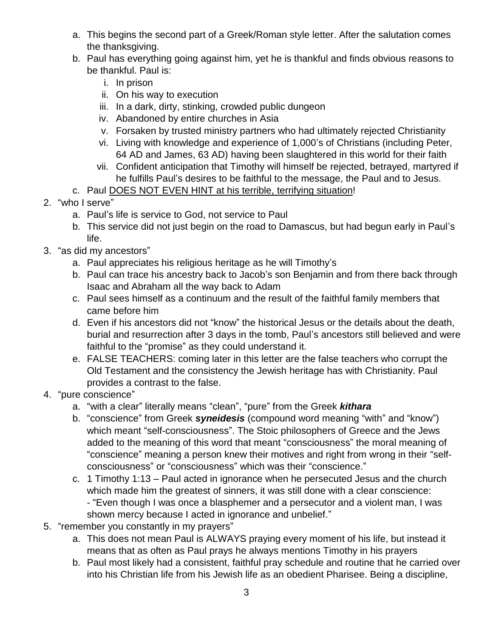- a. This begins the second part of a Greek/Roman style letter. After the salutation comes the thanksgiving.
- b. Paul has everything going against him, yet he is thankful and finds obvious reasons to be thankful. Paul is:
	- i. In prison
	- ii. On his way to execution
	- iii. In a dark, dirty, stinking, crowded public dungeon
	- iv. Abandoned by entire churches in Asia
	- v. Forsaken by trusted ministry partners who had ultimately rejected Christianity
	- vi. Living with knowledge and experience of 1,000's of Christians (including Peter, 64 AD and James, 63 AD) having been slaughtered in this world for their faith
	- vii. Confident anticipation that Timothy will himself be rejected, betrayed, martyred if he fulfills Paul's desires to be faithful to the message, the Paul and to Jesus.
- c. Paul DOES NOT EVEN HINT at his terrible, terrifying situation!
- 2. "who I serve"
	- a. Paul's life is service to God, not service to Paul
	- b. This service did not just begin on the road to Damascus, but had begun early in Paul's life.
- 3. "as did my ancestors"
	- a. Paul appreciates his religious heritage as he will Timothy's
	- b. Paul can trace his ancestry back to Jacob's son Benjamin and from there back through Isaac and Abraham all the way back to Adam
	- c. Paul sees himself as a continuum and the result of the faithful family members that came before him
	- d. Even if his ancestors did not "know" the historical Jesus or the details about the death, burial and resurrection after 3 days in the tomb, Paul's ancestors still believed and were faithful to the "promise" as they could understand it.
	- e. FALSE TEACHERS: coming later in this letter are the false teachers who corrupt the Old Testament and the consistency the Jewish heritage has with Christianity. Paul provides a contrast to the false.
- 4. "pure conscience"
	- a. "with a clear" literally means "clean", "pure" from the Greek *kithara*
	- b. "conscience" from Greek *syneidesis* (compound word meaning "with" and "know") which meant "self-consciousness". The Stoic philosophers of Greece and the Jews added to the meaning of this word that meant "consciousness" the moral meaning of "conscience" meaning a person knew their motives and right from wrong in their "selfconsciousness" or "consciousness" which was their "conscience."
	- c. 1 Timothy 1:13 Paul acted in ignorance when he persecuted Jesus and the church which made him the greatest of sinners, it was still done with a clear conscience: - "Even though I was once a blasphemer and a persecutor and a violent man, I was shown mercy because I acted in ignorance and unbelief."
- 5. "remember you constantly in my prayers"
	- a. This does not mean Paul is ALWAYS praying every moment of his life, but instead it means that as often as Paul prays he always mentions Timothy in his prayers
	- b. Paul most likely had a consistent, faithful pray schedule and routine that he carried over into his Christian life from his Jewish life as an obedient Pharisee. Being a discipline,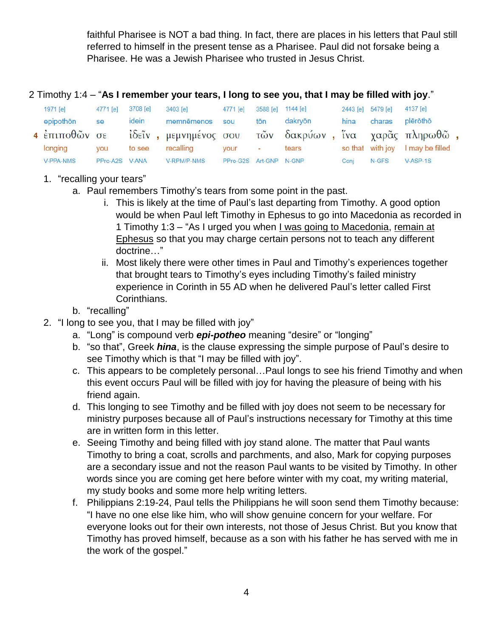faithful Pharisee is NOT a bad thing. In fact, there are places in his letters that Paul still referred to himself in the present tense as a Pharisee. Paul did not forsake being a Pharisee. He was a Jewish Pharisee who trusted in Jesus Christ.

#### 2 Timothy 1:4 – "**As I remember your tears, I long to see you, that I may be filled with joy**."

|  | 1971 [e]                    | 4771 [e] | 3708 [e]     | $3403$ [e]             | 4771 [e]               |                   | 3588 [e] 1144 [e]           |      | 2443 [e] 5479 [e] | 4137 [e]        |  |
|--|-----------------------------|----------|--------------|------------------------|------------------------|-------------------|-----------------------------|------|-------------------|-----------------|--|
|  | epipothon                   | se       | idein        | memnēmenos             | sou                    | tōn               | dakryōn                     | hina | charas            | plērōthō        |  |
|  | $4 \frac{1}{2}$ επιποθών σε |          |              | ίδεῖν , μεμνημένος σου |                        | $\tilde{\tau}$ ων | δακρύων, ίνα χαρᾶς πληρωθῶ, |      |                   |                 |  |
|  | longing                     | vou      | to see       | recalling              | <b>VOUr</b>            | $\sim$            | tears                       |      | so that with joy  | I may be filled |  |
|  | V-PPA-NMS                   | PPro-A2S | <b>V-ANA</b> | <b>V-RPM/P-NMS</b>     | PPro-G2S Art-GNP N-GNP |                   |                             | Coni | $N$ -GFS          | $V-ASP-1S$      |  |

### 1. "recalling your tears"

- a. Paul remembers Timothy's tears from some point in the past.
	- i. This is likely at the time of Paul's last departing from Timothy. A good option would be when Paul left Timothy in Ephesus to go into Macedonia as recorded in 1 Timothy 1:3 – "As I urged you when I was going to Macedonia, remain at Ephesus so that you may charge certain persons not to teach any different doctrine…"
	- ii. Most likely there were other times in Paul and Timothy's experiences together that brought tears to Timothy's eyes including Timothy's failed ministry experience in Corinth in 55 AD when he delivered Paul's letter called First Corinthians.
- b. "recalling"
- 2. "I long to see you, that I may be filled with joy"
	- a. "Long" is compound verb *epi-potheo* meaning "desire" or "longing"
	- b. "so that", Greek *hina*, is the clause expressing the simple purpose of Paul's desire to see Timothy which is that "I may be filled with joy".
	- c. This appears to be completely personal…Paul longs to see his friend Timothy and when this event occurs Paul will be filled with joy for having the pleasure of being with his friend again.
	- d. This longing to see Timothy and be filled with joy does not seem to be necessary for ministry purposes because all of Paul's instructions necessary for Timothy at this time are in written form in this letter.
	- e. Seeing Timothy and being filled with joy stand alone. The matter that Paul wants Timothy to bring a coat, scrolls and parchments, and also, Mark for copying purposes are a secondary issue and not the reason Paul wants to be visited by Timothy. In other words since you are coming get here before winter with my coat, my writing material, my study books and some more help writing letters.
	- f. Philippians 2:19-24, Paul tells the Philippians he will soon send them Timothy because: "I have no one else like him, who will show genuine concern for your welfare. For everyone looks out for their own interests, not those of Jesus Christ. But you know that Timothy has proved himself, because as a son with his father he has served with me in the work of the gospel."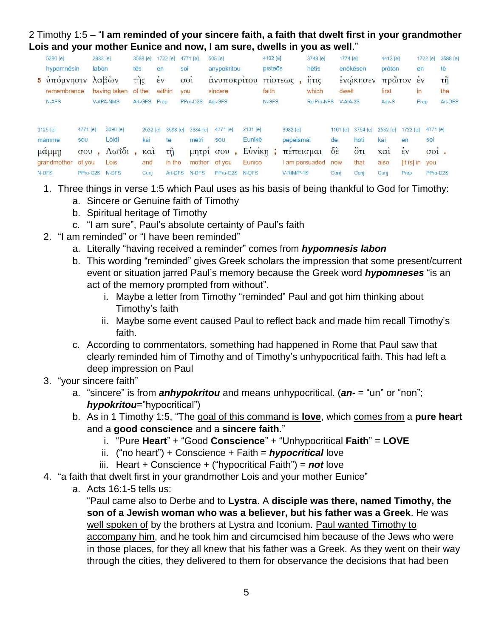#### 2 Timothy 1:5 – "**I am reminded of your sincere faith, a faith that dwelt first in your grandmother Lois and your mother Eunice and now, I am sure, dwells in you as well**."

| 5280 [e]                   |                                          | 2983 [e] |                            | 3588 [e] |                        | 1722 [e]                              | 4771 [e]                                   | 505 [e]                                  |                                  | 4102 [e] |                                    | 3748 [e]     | 1774 [e]                                    |                                                                            | 4412 [e]                     |                      | 1722 [e]                   | 3588 [e] |
|----------------------------|------------------------------------------|----------|----------------------------|----------|------------------------|---------------------------------------|--------------------------------------------|------------------------------------------|----------------------------------|----------|------------------------------------|--------------|---------------------------------------------|----------------------------------------------------------------------------|------------------------------|----------------------|----------------------------|----------|
| hypomnēsin                 |                                          | labōn    |                            | tēs      | en                     |                                       | soi                                        | anypokritou                              |                                  | pisteōs  |                                    | hētis        |                                             | enōkēsen                                                                   | prōton                       |                      | en                         | tē       |
| 5 υπομνησιν                | λαβών                                    |          | $\tilde{\mathsf{trig}}$    |          | EV                     | 001                                   | ανυποκριτου                                |                                          | πιστεως                          |          | $\ddot{\phantom{1}}$<br>$n\tau$    |              | ενωκησεν                                    |                                                                            | πρωτον                       | $\epsilon$           | τỹ                         |          |
| remembrance                |                                          |          | having taken               | of the   |                        | within                                | you                                        | sincere                                  |                                  | faith    |                                    | which        |                                             | dwelt                                                                      |                              |                      | in<br>18.90V               | the      |
| N-AFS                      |                                          |          | <b>V-APA-NMS</b>           | Art-GFS  |                        | Prep                                  | PPro-D2S                                   | Adi-GFS                                  |                                  | N-GFS    |                                    | RelPro-NFS   | $V-AIA-3S$                                  |                                                                            | Adv-S                        |                      | Prep                       | Art-DFS  |
| 3125 [e]<br>mammē<br>μαμμη | 4771 [e]<br>sou<br>$\sigma$ <sup>o</sup> |          | 3090 [e]<br>Lõidi<br>Λωΐδι |          | 2532 [e]<br>kai<br>καί | 3588 [e]<br>tē<br>$\tau \tilde{\eta}$ | 3384 [e]<br>mētri<br>$\mu$ n <sub>tp</sub> | 4771 [e]<br>sou<br>$\sigma$ <sup>o</sup> | 2131 [e]<br>Eunikē<br>$E\dot{v}$ |          | 3982 [e]<br>pepeismai<br>πεπεισμαι |              | 1161 $[e]$<br>de<br>$\delta \dot{\epsilon}$ | 3754 [e]<br>hoti<br>$\ddot{\mathrm{o}}$ <sub><math>\mathrm{t}</math></sub> | 2532 [e]<br>kai<br>$K\alpha$ | 1722 [e]<br>en<br>έv | 4771 [e]<br>soi<br>$001$ . |          |
| grandmother                | of you                                   |          | Lois                       |          | and                    | in the                                | mother                                     | of you                                   | Eunice                           |          |                                    | am persuaded | now                                         | that                                                                       | also                         | [it is] in           | <b>you</b>                 |          |
| N-DFS                      | PPro-G2S                                 |          | N-DFS                      |          | Conj                   | Art-DFS                               | N-DFS                                      | PPro-G2S                                 | N-DFS                            |          | V-RIM/P-1S                         |              | Conj                                        | Conj                                                                       | Conj                         | Prep                 |                            | PPro-D2S |

- 1. Three things in verse 1:5 which Paul uses as his basis of being thankful to God for Timothy:
	- a. Sincere or Genuine faith of Timothy
	- b. Spiritual heritage of Timothy
	- c. "I am sure", Paul's absolute certainty of Paul's faith
- 2. "I am reminded" or "I have been reminded"
	- a. Literally "having received a reminder" comes from *hypomnesis labon*
	- b. This wording "reminded" gives Greek scholars the impression that some present/current event or situation jarred Paul's memory because the Greek word *hypomneses* "is an act of the memory prompted from without".
		- i. Maybe a letter from Timothy "reminded" Paul and got him thinking about Timothy's faith
		- ii. Maybe some event caused Paul to reflect back and made him recall Timothy's faith.
	- c. According to commentators, something had happened in Rome that Paul saw that clearly reminded him of Timothy and of Timothy's unhypocritical faith. This had left a deep impression on Paul
- 3. "your sincere faith"
	- a. "sincere" is from *anhypokritou* and means unhypocritical. (*an-* = "un" or "non"; *hypokritou*="hypocritical")
	- b. As in 1 Timothy 1:5, "The goal of this command is **love**, which comes from a **pure heart** and a **good conscience** and a **sincere faith**."
		- i. "Pure **Heart**" + "Good **Conscience**" + "Unhypocritical **Faith**" = **LOVE**
		- ii. ("no heart") + Conscience + Faith = *hypocritical* love
		- iii. Heart + Conscience + ("hypocritical Faith") = *not* love
- 4. "a faith that dwelt first in your grandmother Lois and your mother Eunice"
	- a. Acts 16:1-5 tells us:

"Paul came also to Derbe and to **Lystra**. A **disciple was there, named Timothy, the son of a Jewish woman who was a believer, but his father was a Greek**. He was well spoken of by the brothers at Lystra and Iconium. Paul wanted Timothy to accompany him, and he took him and circumcised him because of the Jews who were in those places, for they all knew that his father was a Greek. As they went on their way through the cities, they delivered to them for observance the decisions that had been